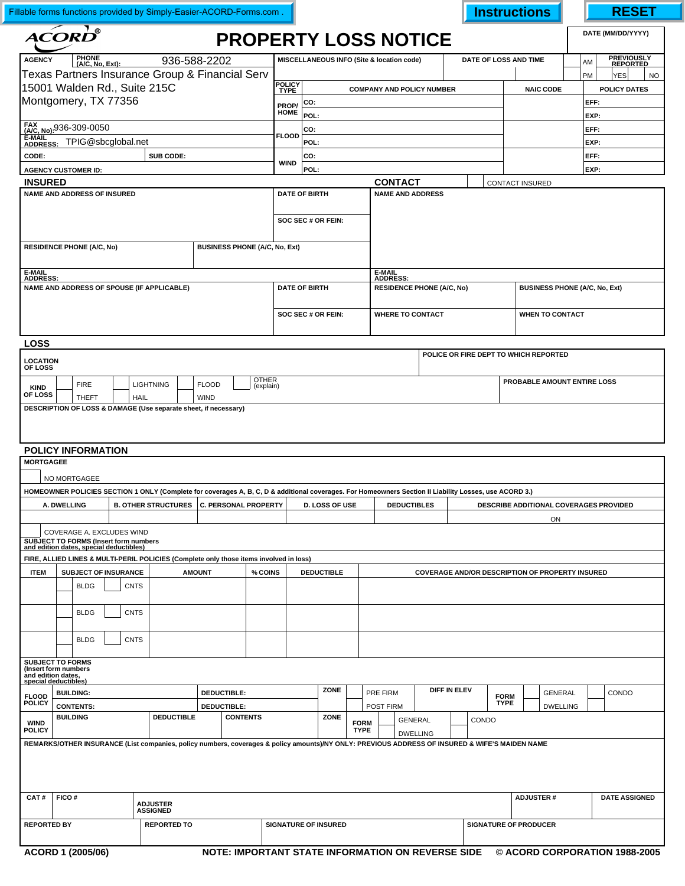| Fillable forms functions provided by Simply-Easier-ACORD-Forms.com.                                                                                  |                                                                    |                                             |                                                                                                                      |             |                                                                 |                             |                                                                                                                                                        |                       |                                            |      |  |                            |                                   |                                       |                              |                                                     | <b>Instructions</b>        |                                                        |                  |                  |                                      | <b>RESET</b>      |            |       |                               |  |
|------------------------------------------------------------------------------------------------------------------------------------------------------|--------------------------------------------------------------------|---------------------------------------------|----------------------------------------------------------------------------------------------------------------------|-------------|-----------------------------------------------------------------|-----------------------------|--------------------------------------------------------------------------------------------------------------------------------------------------------|-----------------------|--------------------------------------------|------|--|----------------------------|-----------------------------------|---------------------------------------|------------------------------|-----------------------------------------------------|----------------------------|--------------------------------------------------------|------------------|------------------|--------------------------------------|-------------------|------------|-------|-------------------------------|--|
| $\mathbf{\Lambda}\mathbf{\mathbf{COR}}\mathbf{\mathbf{\mathbf{\mathbf{\mathbf{D}}}}}^{\mathbf{\$}}$                                                  |                                                                    |                                             |                                                                                                                      |             |                                                                 |                             |                                                                                                                                                        |                       | <b>PROPERTY LOSS NOTICE</b>                |      |  |                            |                                   |                                       |                              |                                                     |                            |                                                        |                  |                  |                                      | DATE (MM/DD/YYYY) |            |       |                               |  |
| PHONE<br>(A/C, No, Ext):<br>936-588-2202<br><b>AGENCY</b>                                                                                            |                                                                    |                                             |                                                                                                                      |             |                                                                 |                             |                                                                                                                                                        |                       | MISCELLANEOUS INFO (Site & location code)  |      |  |                            |                                   |                                       |                              |                                                     |                            | DATE OF LOSS AND TIME                                  |                  |                  |                                      | AM                |            |       | <b>PREVIOUSLY</b><br>REPORTED |  |
| Texas Partners Insurance Group & Financial Serv                                                                                                      |                                                                    |                                             |                                                                                                                      |             |                                                                 |                             |                                                                                                                                                        |                       |                                            |      |  |                            |                                   |                                       |                              |                                                     |                            |                                                        |                  |                  | PM                                   |                   | <b>YES</b> |       | <b>NO</b>                     |  |
| 15001 Walden Rd., Suite 215C                                                                                                                         |                                                                    |                                             |                                                                                                                      |             |                                                                 |                             |                                                                                                                                                        | POLICY<br>TYPE        |                                            |      |  |                            | <b>COMPANY AND POLICY NUMBER</b>  |                                       |                              |                                                     |                            |                                                        |                  | <b>NAIC CODE</b> |                                      |                   |            |       | <b>POLICY DATES</b>           |  |
| Montgomery, TX 77356                                                                                                                                 |                                                                    |                                             |                                                                                                                      |             |                                                                 |                             |                                                                                                                                                        |                       | CO:<br>PROP/<br>HOME                       |      |  |                            |                                   |                                       |                              |                                                     |                            | EFF:<br>EXP:                                           |                  |                  |                                      |                   |            |       |                               |  |
| FAX<br>(A/C, No): 936-309-0050                                                                                                                       |                                                                    |                                             |                                                                                                                      |             |                                                                 |                             |                                                                                                                                                        |                       | POL:<br>CO:                                |      |  |                            |                                   |                                       |                              |                                                     |                            |                                                        |                  |                  | EFF:                                 |                   |            |       |                               |  |
| E-MAIL<br>ADDRESS: TPIG@sbcglobal.net                                                                                                                |                                                                    |                                             |                                                                                                                      |             |                                                                 |                             |                                                                                                                                                        | <b>FLOOD</b>          | POL:                                       |      |  |                            |                                   |                                       |                              |                                                     |                            |                                                        |                  |                  |                                      | EXP:              |            |       |                               |  |
| SUB CODE:<br>CODE:                                                                                                                                   |                                                                    |                                             |                                                                                                                      |             |                                                                 |                             |                                                                                                                                                        |                       | CO:                                        |      |  |                            |                                   |                                       |                              |                                                     |                            |                                                        |                  |                  |                                      |                   | EFF:       |       |                               |  |
| <b>AGENCY CUSTOMER ID:</b>                                                                                                                           |                                                                    |                                             |                                                                                                                      |             |                                                                 |                             |                                                                                                                                                        | <b>WIND</b>           | POL:                                       |      |  |                            |                                   |                                       |                              |                                                     |                            |                                                        |                  |                  | EXP:                                 |                   |            |       |                               |  |
| <b>INSURED</b>                                                                                                                                       |                                                                    |                                             |                                                                                                                      |             |                                                                 |                             |                                                                                                                                                        |                       |                                            |      |  |                            | <b>CONTACT</b>                    |                                       |                              |                                                     |                            | CONTACT INSURED                                        |                  |                  |                                      |                   |            |       |                               |  |
| NAME AND ADDRESS OF INSURED<br><b>RESIDENCE PHONE (A/C, No)</b><br><b>BUSINESS PHONE (A/C, No, Ext)</b>                                              |                                                                    |                                             |                                                                                                                      |             |                                                                 |                             |                                                                                                                                                        |                       | <b>DATE OF BIRTH</b><br>SOC SEC # OR FEIN: |      |  |                            | <b>NAME AND ADDRESS</b>           |                                       |                              |                                                     |                            |                                                        |                  |                  |                                      |                   |            |       |                               |  |
|                                                                                                                                                      |                                                                    |                                             |                                                                                                                      |             |                                                                 |                             |                                                                                                                                                        |                       |                                            |      |  |                            |                                   |                                       |                              |                                                     |                            |                                                        |                  |                  |                                      |                   |            |       |                               |  |
| E-MAIL<br>ADDRESS:                                                                                                                                   |                                                                    |                                             |                                                                                                                      |             |                                                                 |                             |                                                                                                                                                        |                       |                                            |      |  |                            | E-MAIL<br>ADDRESS:                |                                       |                              |                                                     |                            |                                                        |                  |                  |                                      |                   |            |       |                               |  |
|                                                                                                                                                      | NAME AND ADDRESS OF SPOUSE (IF APPLICABLE)                         |                                             |                                                                                                                      |             |                                                                 |                             |                                                                                                                                                        |                       | <b>DATE OF BIRTH</b>                       |      |  |                            | <b>RESIDENCE PHONE (A/C, No)</b>  |                                       |                              |                                                     |                            |                                                        |                  |                  | <b>BUSINESS PHONE (A/C, No, Ext)</b> |                   |            |       |                               |  |
|                                                                                                                                                      |                                                                    |                                             |                                                                                                                      |             |                                                                 |                             |                                                                                                                                                        | SOC SEC # OR FEIN:    |                                            |      |  | <b>WHERE TO CONTACT</b>    |                                   |                                       |                              |                                                     | <b>WHEN TO CONTACT</b>     |                                                        |                  |                  |                                      |                   |            |       |                               |  |
|                                                                                                                                                      |                                                                    |                                             |                                                                                                                      |             |                                                                 |                             |                                                                                                                                                        |                       |                                            |      |  |                            |                                   |                                       |                              |                                                     |                            |                                                        |                  |                  |                                      |                   |            |       |                               |  |
| <b>LOSS</b><br><b>LOCATION</b><br>OF LOSS                                                                                                            |                                                                    |                                             |                                                                                                                      |             |                                                                 |                             |                                                                                                                                                        |                       |                                            |      |  |                            |                                   | POLICE OR FIRE DEPT TO WHICH REPORTED |                              |                                                     |                            |                                                        |                  |                  |                                      |                   |            |       |                               |  |
| <b>OTHER</b><br><b>FIRE</b><br><b>LIGHTNING</b><br><b>FLOOD</b><br>(explain)<br><b>KIND</b><br>OF LOSS<br><b>THEFT</b><br><b>HAIL</b><br><b>WIND</b> |                                                                    |                                             |                                                                                                                      |             |                                                                 |                             |                                                                                                                                                        |                       |                                            |      |  |                            |                                   | PROBABLE AMOUNT ENTIRE LOSS           |                              |                                                     |                            |                                                        |                  |                  |                                      |                   |            |       |                               |  |
|                                                                                                                                                      |                                                                    |                                             |                                                                                                                      |             | DESCRIPTION OF LOSS & DAMAGE (Use separate sheet, if necessary) |                             |                                                                                                                                                        |                       |                                            |      |  |                            |                                   |                                       |                              |                                                     |                            |                                                        |                  |                  |                                      |                   |            |       |                               |  |
|                                                                                                                                                      |                                                                    |                                             |                                                                                                                      |             |                                                                 |                             |                                                                                                                                                        |                       |                                            |      |  |                            |                                   |                                       |                              |                                                     |                            |                                                        |                  |                  |                                      |                   |            |       |                               |  |
| POLICY INFORMATION                                                                                                                                   |                                                                    |                                             |                                                                                                                      |             |                                                                 |                             |                                                                                                                                                        |                       |                                            |      |  |                            |                                   |                                       |                              |                                                     |                            |                                                        |                  |                  |                                      |                   |            |       |                               |  |
| <b>MORTGAGEE</b>                                                                                                                                     |                                                                    |                                             |                                                                                                                      |             |                                                                 |                             |                                                                                                                                                        |                       |                                            |      |  |                            |                                   |                                       |                              |                                                     |                            |                                                        |                  |                  |                                      |                   |            |       |                               |  |
|                                                                                                                                                      |                                                                    | NO MORTGAGEE                                |                                                                                                                      |             |                                                                 |                             |                                                                                                                                                        |                       |                                            |      |  |                            |                                   |                                       |                              |                                                     |                            |                                                        |                  |                  |                                      |                   |            |       |                               |  |
|                                                                                                                                                      |                                                                    |                                             |                                                                                                                      |             |                                                                 |                             | HOMEOWNER POLICIES SECTION 1 ONLY (Complete for coverages A, B, C, D & additional coverages. For Homeowners Section II Liability Losses, use ACORD 3.) |                       |                                            |      |  |                            |                                   |                                       |                              |                                                     |                            |                                                        |                  |                  |                                      |                   |            |       |                               |  |
| A. DWELLING<br><b>B. OTHER STRUCTURES</b>                                                                                                            |                                                                    |                                             |                                                                                                                      |             |                                                                 | <b>C. PERSONAL PROPERTY</b> |                                                                                                                                                        | <b>D. LOSS OF USE</b> |                                            |      |  | <b>DEDUCTIBLES</b>         |                                   |                                       |                              | <b>DESCRIBE ADDITIONAL COVERAGES PROVIDED</b><br>ON |                            |                                                        |                  |                  |                                      |                   |            |       |                               |  |
|                                                                                                                                                      |                                                                    |                                             | COVERAGE A. EXCLUDES WIND<br><b>SUBJECT TO FORMS (Insert form numbers</b><br>and edition dates, special deductibles) |             |                                                                 |                             |                                                                                                                                                        |                       |                                            |      |  |                            |                                   |                                       |                              |                                                     |                            |                                                        |                  |                  |                                      |                   |            |       |                               |  |
|                                                                                                                                                      |                                                                    |                                             |                                                                                                                      |             |                                                                 |                             | FIRE, ALLIED LINES & MULTI-PERIL POLICIES (Complete only those items involved in loss)                                                                 |                       |                                            |      |  |                            |                                   |                                       |                              |                                                     |                            |                                                        |                  |                  |                                      |                   |            |       |                               |  |
| <b>ITEM</b>                                                                                                                                          | <b>SUBJECT OF INSURANCE</b>                                        |                                             |                                                                                                                      |             | <b>AMOUNT</b>                                                   |                             |                                                                                                                                                        | % COINS               | <b>DEDUCTIBLE</b>                          |      |  |                            |                                   |                                       |                              |                                                     |                            | <b>COVERAGE AND/OR DESCRIPTION OF PROPERTY INSURED</b> |                  |                  |                                      |                   |            |       |                               |  |
|                                                                                                                                                      |                                                                    | <b>BLDG</b><br><b>CNTS</b>                  |                                                                                                                      |             |                                                                 |                             |                                                                                                                                                        |                       |                                            |      |  |                            |                                   |                                       |                              |                                                     |                            |                                                        |                  |                  |                                      |                   |            |       |                               |  |
|                                                                                                                                                      |                                                                    | <b>BLDG</b><br><b>CNTS</b>                  |                                                                                                                      |             |                                                                 |                             |                                                                                                                                                        |                       |                                            |      |  |                            |                                   |                                       |                              |                                                     |                            |                                                        |                  |                  |                                      |                   |            |       |                               |  |
|                                                                                                                                                      |                                                                    | <b>BLDG</b>                                 |                                                                                                                      | <b>CNTS</b> |                                                                 |                             |                                                                                                                                                        |                       |                                            |      |  |                            |                                   |                                       |                              |                                                     |                            |                                                        |                  |                  |                                      |                   |            |       |                               |  |
| <b>SUBJECT TO FORMS</b><br>(Insert form numbers<br>and edition dates,<br>special deductibles)                                                        |                                                                    |                                             |                                                                                                                      |             |                                                                 |                             |                                                                                                                                                        |                       |                                            |      |  |                            |                                   |                                       |                              |                                                     |                            |                                                        |                  |                  |                                      |                   |            |       |                               |  |
| <b>FLOOD</b><br><b>POLICY</b>                                                                                                                        | <b>BUILDING:</b><br>DEDUCTIBLE:<br><b>CONTENTS:</b><br>DEDUCTIBLE: |                                             |                                                                                                                      |             |                                                                 |                             |                                                                                                                                                        |                       |                                            | ZONE |  |                            | PRE FIRM<br>POST FIRM             |                                       | DIFF IN ELEV                 |                                                     | <b>FORM</b><br><b>TYPE</b> |                                                        |                  |                  | <b>GENERAL</b><br><b>DWELLING</b>    |                   |            | CONDO |                               |  |
| <b>WIND</b>                                                                                                                                          | <b>BUILDING</b><br><b>DEDUCTIBLE</b><br><b>POLICY</b>              |                                             |                                                                                                                      |             |                                                                 | <b>CONTENTS</b>             |                                                                                                                                                        |                       | ZONE                                       |      |  | <b>FORM</b><br><b>TYPE</b> | <b>GENERAL</b><br><b>DWELLING</b> |                                       |                              |                                                     | CONDO                      |                                                        |                  |                  |                                      |                   |            |       |                               |  |
|                                                                                                                                                      |                                                                    |                                             |                                                                                                                      |             |                                                                 |                             | REMARKS/OTHER INSURANCE (List companies, policy numbers, coverages & policy amounts)/NY ONLY: PREVIOUS ADDRESS OF INSURED & WIFE'S MAIDEN NAME         |                       |                                            |      |  |                            |                                   |                                       |                              |                                                     |                            |                                                        |                  |                  |                                      |                   |            |       |                               |  |
|                                                                                                                                                      |                                                                    |                                             |                                                                                                                      |             |                                                                 |                             |                                                                                                                                                        |                       |                                            |      |  |                            |                                   |                                       |                              |                                                     |                            |                                                        |                  |                  |                                      |                   |            |       |                               |  |
| CAT#                                                                                                                                                 |                                                                    | FICO#<br><b>ADJUSTER</b><br><b>ASSIGNED</b> |                                                                                                                      |             |                                                                 |                             |                                                                                                                                                        |                       |                                            |      |  |                            |                                   |                                       |                              |                                                     |                            |                                                        | <b>ADJUSTER#</b> |                  | <b>DATE ASSIGNED</b>                 |                   |            |       |                               |  |
| <b>REPORTED BY</b>                                                                                                                                   |                                                                    |                                             |                                                                                                                      |             | <b>REPORTED TO</b>                                              |                             | <b>SIGNATURE OF INSURED</b>                                                                                                                            |                       |                                            |      |  |                            |                                   |                                       | <b>SIGNATURE OF PRODUCER</b> |                                                     |                            |                                                        |                  |                  |                                      |                   |            |       |                               |  |